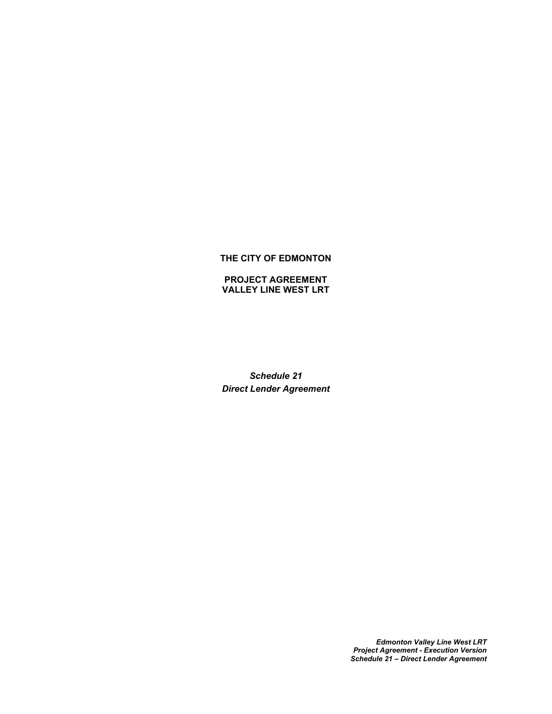### **THE CITY OF EDMONTON**

**PROJECT AGREEMENT VALLEY LINE WEST LRT**

*Schedule 21 Direct Lender Agreement*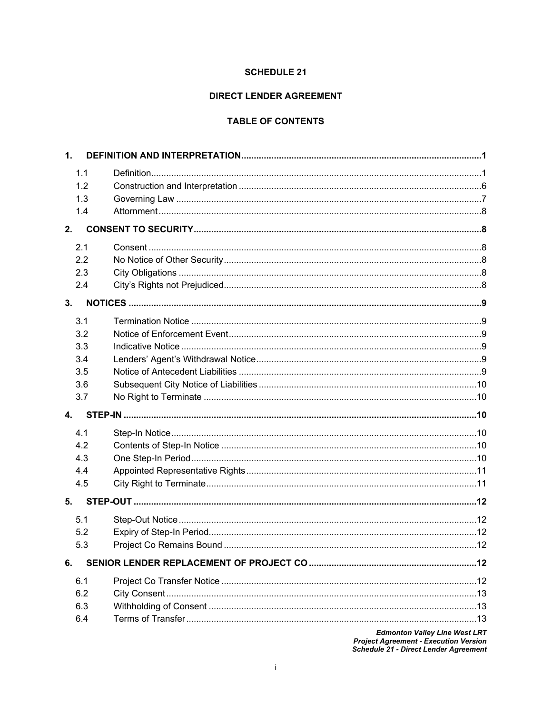#### **SCHEDULE 21**

### **DIRECT LENDER AGREEMENT**

# **TABLE OF CONTENTS**

|                           | 1.1 |  |
|---------------------------|-----|--|
|                           | 1.2 |  |
|                           | 1.3 |  |
|                           | 1.4 |  |
| 2.                        |     |  |
|                           | 2.1 |  |
|                           | 2.2 |  |
|                           | 2.3 |  |
|                           | 2.4 |  |
| 3.                        |     |  |
|                           | 3.1 |  |
|                           | 3.2 |  |
|                           | 3.3 |  |
|                           | 3.4 |  |
|                           | 3.5 |  |
|                           | 3.6 |  |
|                           | 3.7 |  |
| $\overline{\mathbf{4}}$ . |     |  |
|                           | 4.1 |  |
|                           | 4.2 |  |
|                           | 4.3 |  |
|                           |     |  |
|                           | 4.4 |  |
|                           | 4.5 |  |
| 5.                        |     |  |
|                           | 5.1 |  |
|                           | 5.2 |  |
|                           | 5.3 |  |
| 6.                        |     |  |
|                           | 6.1 |  |
|                           | 6.2 |  |
|                           | 6.3 |  |
|                           | 6.4 |  |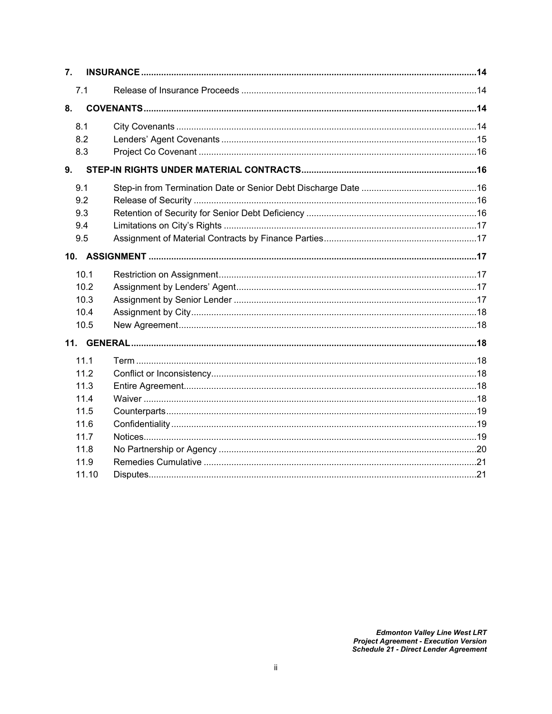| 7.                                                                            |  |
|-------------------------------------------------------------------------------|--|
| 7.1                                                                           |  |
| 8.                                                                            |  |
| 8.1<br>8.2<br>8.3                                                             |  |
| 9.                                                                            |  |
| 9.1<br>9.2<br>9.3<br>9.4<br>9.5                                               |  |
|                                                                               |  |
| 10.1<br>10.2<br>10.3<br>10.4<br>10.5                                          |  |
|                                                                               |  |
| 11.1<br>11.2<br>11.3<br>11.4<br>11.5<br>11.6<br>11.7<br>11.8<br>11.9<br>11.10 |  |
|                                                                               |  |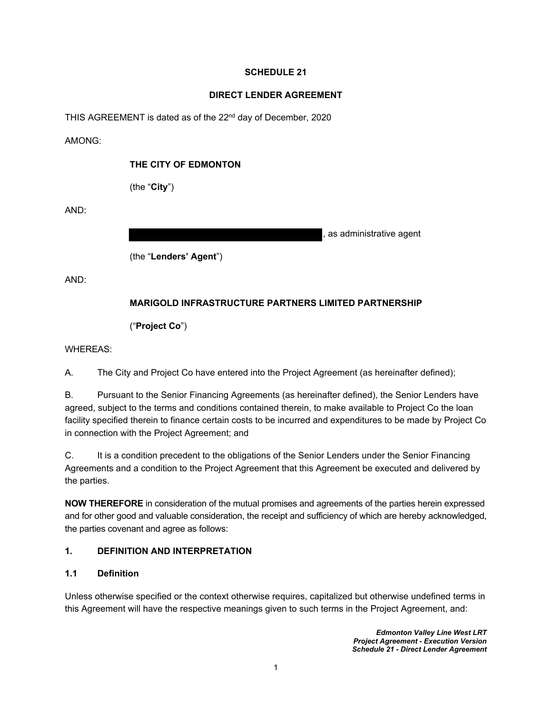### **SCHEDULE 21**

#### **DIRECT LENDER AGREEMENT**

THIS AGREEMENT is dated as of the 22<sup>nd</sup> day of December, 2020

AMONG:

#### **THE CITY OF EDMONTON**

(the "**City**")

AND:

as administrative agent

(the "**Lenders' Agent**")

AND:

# **MARIGOLD INFRASTRUCTURE PARTNERS LIMITED PARTNERSHIP**

("**Project Co**")

WHEREAS:

A. The City and Project Co have entered into the Project Agreement (as hereinafter defined);

B. Pursuant to the Senior Financing Agreements (as hereinafter defined), the Senior Lenders have agreed, subject to the terms and conditions contained therein, to make available to Project Co the loan facility specified therein to finance certain costs to be incurred and expenditures to be made by Project Co in connection with the Project Agreement; and

C. It is a condition precedent to the obligations of the Senior Lenders under the Senior Financing Agreements and a condition to the Project Agreement that this Agreement be executed and delivered by the parties.

**NOW THEREFORE** in consideration of the mutual promises and agreements of the parties herein expressed and for other good and valuable consideration, the receipt and sufficiency of which are hereby acknowledged, the parties covenant and agree as follows:

# <span id="page-3-1"></span><span id="page-3-0"></span>**1. DEFINITION AND INTERPRETATION**

#### **1.1 Definition**

Unless otherwise specified or the context otherwise requires, capitalized but otherwise undefined terms in this Agreement will have the respective meanings given to such terms in the Project Agreement, and: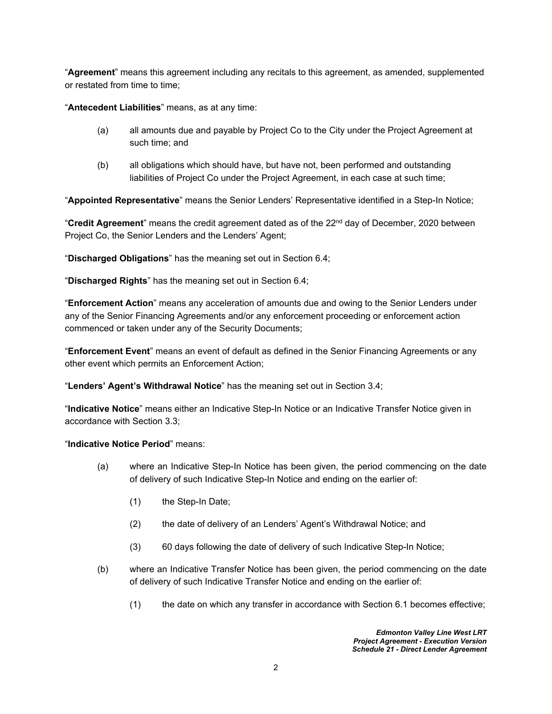"**Agreement**" means this agreement including any recitals to this agreement, as amended, supplemented or restated from time to time;

"**Antecedent Liabilities**" means, as at any time:

- (a) all amounts due and payable by Project Co to the City under the Project Agreement at such time; and
- (b) all obligations which should have, but have not, been performed and outstanding liabilities of Project Co under the Project Agreement, in each case at such time;

"**Appointed Representative**" means the Senior Lenders' Representative identified in a Step-In Notice;

"**Credit Agreement**" means the credit agreement dated as of the 22nd day of December, 2020 between Project Co, the Senior Lenders and the Lenders' Agent;

"**Discharged Obligations**" has the meaning set out in Section [6.4;](#page-15-4)

"**Discharged Rights**" has the meaning set out in Section [6.4;](#page-15-4)

"**Enforcement Action**" means any acceleration of amounts due and owing to the Senior Lenders under any of the Senior Financing Agreements and/or any enforcement proceeding or enforcement action commenced or taken under any of the Security Documents;

"**Enforcement Event**" means an event of default as defined in the Senior Financing Agreements or any other event which permits an Enforcement Action;

"**Lenders' Agent's Withdrawal Notice**" has the meaning set out in Section [3.4](#page-11-4);

"**Indicative Notice**" means either an Indicative Step-In Notice or an Indicative Transfer Notice given in accordance with Section [3.3](#page-11-3);

#### "**Indicative Notice Period**" means:

- (a) where an Indicative Step-In Notice has been given, the period commencing on the date of delivery of such Indicative Step-In Notice and ending on the earlier of:
	- (1) the Step-In Date;
	- (2) the date of delivery of an Lenders' Agent's Withdrawal Notice; and
	- (3) 60 days following the date of delivery of such Indicative Step-In Notice;
- (b) where an Indicative Transfer Notice has been given, the period commencing on the date of delivery of such Indicative Transfer Notice and ending on the earlier of:
	- (1) the date on which any transfer in accordance with Section [6.1](#page-15-1) becomes effective;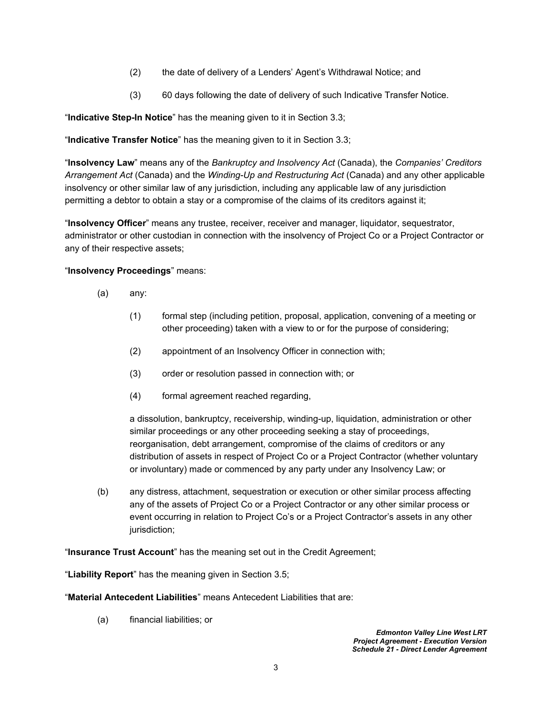- (2) the date of delivery of a Lenders' Agent's Withdrawal Notice; and
- (3) 60 days following the date of delivery of such Indicative Transfer Notice.

"**Indicative Step-In Notice**" has the meaning given to it in Section [3.3](#page-11-3);

"**Indicative Transfer Notice**" has the meaning given to it in Section [3.3;](#page-11-3)

"**Insolvency Law**" means any of the *Bankruptcy and Insolvency Act* (Canada), the *Companies' Creditors Arrangement Act* (Canada) and the *Winding-Up and Restructuring Act* (Canada) and any other applicable insolvency or other similar law of any jurisdiction, including any applicable law of any jurisdiction permitting a debtor to obtain a stay or a compromise of the claims of its creditors against it;

"**Insolvency Officer**" means any trustee, receiver, receiver and manager, liquidator, sequestrator, administrator or other custodian in connection with the insolvency of Project Co or a Project Contractor or any of their respective assets;

#### "**Insolvency Proceedings**" means:

- (a) any:
	- (1) formal step (including petition, proposal, application, convening of a meeting or other proceeding) taken with a view to or for the purpose of considering;
	- (2) appointment of an Insolvency Officer in connection with;
	- (3) order or resolution passed in connection with; or
	- (4) formal agreement reached regarding,

a dissolution, bankruptcy, receivership, winding-up, liquidation, administration or other similar proceedings or any other proceeding seeking a stay of proceedings, reorganisation, debt arrangement, compromise of the claims of creditors or any distribution of assets in respect of Project Co or a Project Contractor (whether voluntary or involuntary) made or commenced by any party under any Insolvency Law; or

(b) any distress, attachment, sequestration or execution or other similar process affecting any of the assets of Project Co or a Project Contractor or any other similar process or event occurring in relation to Project Co's or a Project Contractor's assets in any other jurisdiction;

"**Insurance Trust Account**" has the meaning set out in the Credit Agreement;

"**Liability Report**" has the meaning given in Section [3.5](#page-12-0);

"**Material Antecedent Liabilities**" means Antecedent Liabilities that are:

(a) financial liabilities; or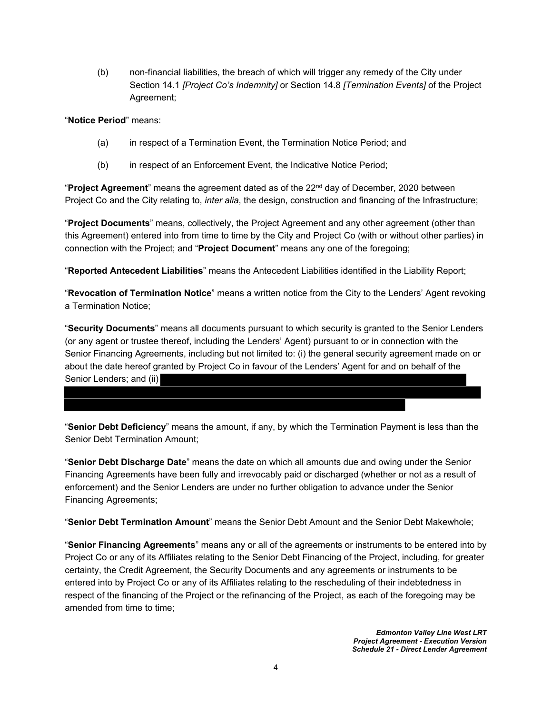(b) non-financial liabilities, the breach of which will trigger any remedy of the City under Section 14.1 *[Project Co's Indemnity]* or Section 14.8 *[Termination Events]* of the Project Agreement;

#### "**Notice Period**" means:

- (a) in respect of a Termination Event, the Termination Notice Period; and
- (b) in respect of an Enforcement Event, the Indicative Notice Period;

"**Project Agreement**" means the agreement dated as of the 22nd day of December, 2020 between Project Co and the City relating to, *inter alia*, the design, construction and financing of the Infrastructure;

"**Project Documents**" means, collectively, the Project Agreement and any other agreement (other than this Agreement) entered into from time to time by the City and Project Co (with or without other parties) in connection with the Project; and "**Project Document**" means any one of the foregoing;

"**Reported Antecedent Liabilities**" means the Antecedent Liabilities identified in the Liability Report;

"**Revocation of Termination Notice**" means a written notice from the City to the Lenders' Agent revoking a Termination Notice;

"**Security Documents**" means all documents pursuant to which security is granted to the Senior Lenders (or any agent or trustee thereof, including the Lenders' Agent) pursuant to or in connection with the Senior Financing Agreements, including but not limited to: (i) the general security agreement made on or about the date hereof granted by Project Co in favour of the Lenders' Agent for and on behalf of the Senior Lenders; and (ii)

"**Senior Debt Deficiency**" means the amount, if any, by which the Termination Payment is less than the Senior Debt Termination Amount;

"**Senior Debt Discharge Date**" means the date on which all amounts due and owing under the Senior Financing Agreements have been fully and irrevocably paid or discharged (whether or not as a result of enforcement) and the Senior Lenders are under no further obligation to advance under the Senior Financing Agreements;

"**Senior Debt Termination Amount**" means the Senior Debt Amount and the Senior Debt Makewhole;

"**Senior Financing Agreements**" means any or all of the agreements or instruments to be entered into by Project Co or any of its Affiliates relating to the Senior Debt Financing of the Project, including, for greater certainty, the Credit Agreement, the Security Documents and any agreements or instruments to be entered into by Project Co or any of its Affiliates relating to the rescheduling of their indebtedness in respect of the financing of the Project or the refinancing of the Project, as each of the foregoing may be amended from time to time;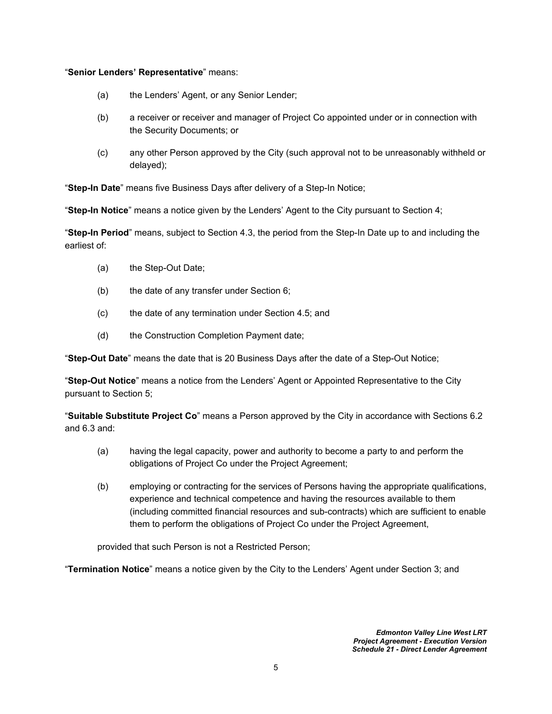#### "**Senior Lenders' Representative**" means:

- (a) the Lenders' Agent, or any Senior Lender;
- (b) a receiver or receiver and manager of Project Co appointed under or in connection with the Security Documents; or
- (c) any other Person approved by the City (such approval not to be unreasonably withheld or delayed);

"**Step-In Date**" means five Business Days after delivery of a Step-In Notice;

"**Step-In Notice**" means a notice given by the Lenders' Agent to the City pursuant to Section [4](#page-12-3);

"**Step-In Period**" means, subject to Section [4.3](#page-13-1), the period from the Step-In Date up to and including the earliest of:

- (a) the Step-Out Date;
- (b) the date of any transfer under Section [6;](#page-15-0)
- (c) the date of any termination under Section [4.5;](#page-13-3) and
- (d) the Construction Completion Payment date;

"**Step-Out Date**" means the date that is 20 Business Days after the date of a Step-Out Notice;

"**Step-Out Notice**" means a notice from the Lenders' Agent or Appointed Representative to the City pursuant to Section [5;](#page-14-0)

"**Suitable Substitute Project Co**" means a Person approved by the City in accordance with Sections [6.2](#page-15-2)  and [6.3](#page-15-3) and:

- (a) having the legal capacity, power and authority to become a party to and perform the obligations of Project Co under the Project Agreement;
- (b) employing or contracting for the services of Persons having the appropriate qualifications, experience and technical competence and having the resources available to them (including committed financial resources and sub-contracts) which are sufficient to enable them to perform the obligations of Project Co under the Project Agreement,

provided that such Person is not a Restricted Person;

"**Termination Notice**" means a notice given by the City to the Lenders' Agent under Section [3](#page-11-0); and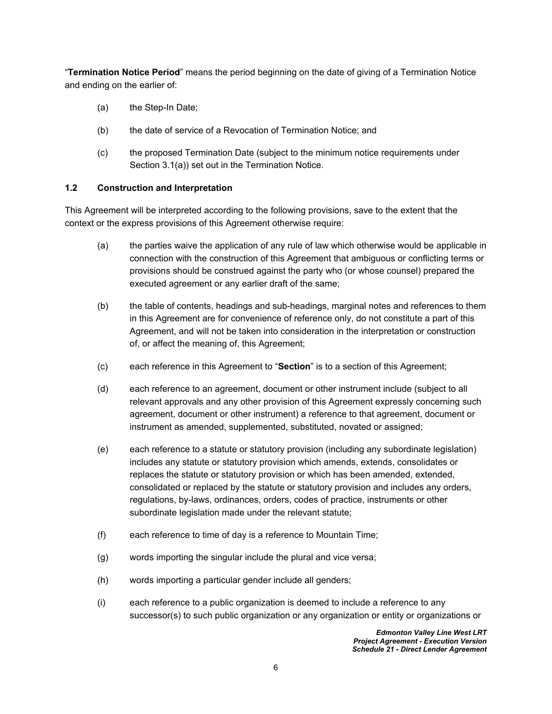"**Termination Notice Period**" means the period beginning on the date of giving of a Termination Notice and ending on the earlier of:

- (a) the Step-In Date;
- (b) the date of service of a Revocation of Termination Notice; and
- (c) the proposed Termination Date (subject to the minimum notice requirements under Section [3.1\(a\)](#page-11-5)) set out in the Termination Notice.

### <span id="page-8-0"></span>**1.2 Construction and Interpretation**

This Agreement will be interpreted according to the following provisions, save to the extent that the context or the express provisions of this Agreement otherwise require:

- (a) the parties waive the application of any rule of law which otherwise would be applicable in connection with the construction of this Agreement that ambiguous or conflicting terms or provisions should be construed against the party who (or whose counsel) prepared the executed agreement or any earlier draft of the same;
- (b) the table of contents, headings and sub-headings, marginal notes and references to them in this Agreement are for convenience of reference only, do not constitute a part of this Agreement, and will not be taken into consideration in the interpretation or construction of, or affect the meaning of, this Agreement;
- (c) each reference in this Agreement to "**Section**" is to a section of this Agreement;
- (d) each reference to an agreement, document or other instrument include (subject to all relevant approvals and any other provision of this Agreement expressly concerning such agreement, document or other instrument) a reference to that agreement, document or instrument as amended, supplemented, substituted, novated or assigned;
- (e) each reference to a statute or statutory provision (including any subordinate legislation) includes any statute or statutory provision which amends, extends, consolidates or replaces the statute or statutory provision or which has been amended, extended, consolidated or replaced by the statute or statutory provision and includes any orders, regulations, by-laws, ordinances, orders, codes of practice, instruments or other subordinate legislation made under the relevant statute;
- (f) each reference to time of day is a reference to Mountain Time;
- (g) words importing the singular include the plural and vice versa;
- (h) words importing a particular gender include all genders;
- (i) each reference to a public organization is deemed to include a reference to any successor(s) to such public organization or any organization or entity or organizations or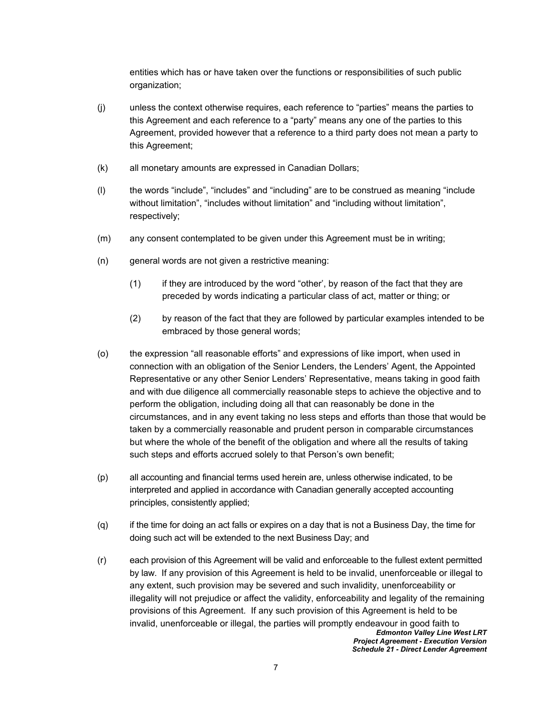entities which has or have taken over the functions or responsibilities of such public organization;

- (j) unless the context otherwise requires, each reference to "parties" means the parties to this Agreement and each reference to a "party" means any one of the parties to this Agreement, provided however that a reference to a third party does not mean a party to this Agreement;
- (k) all monetary amounts are expressed in Canadian Dollars;
- (l) the words "include", "includes" and "including" are to be construed as meaning "include without limitation", "includes without limitation" and "including without limitation", respectively;
- (m) any consent contemplated to be given under this Agreement must be in writing;
- (n) general words are not given a restrictive meaning:
	- (1) if they are introduced by the word "other', by reason of the fact that they are preceded by words indicating a particular class of act, matter or thing; or
	- (2) by reason of the fact that they are followed by particular examples intended to be embraced by those general words;
- (o) the expression "all reasonable efforts" and expressions of like import, when used in connection with an obligation of the Senior Lenders, the Lenders' Agent, the Appointed Representative or any other Senior Lenders' Representative, means taking in good faith and with due diligence all commercially reasonable steps to achieve the objective and to perform the obligation, including doing all that can reasonably be done in the circumstances, and in any event taking no less steps and efforts than those that would be taken by a commercially reasonable and prudent person in comparable circumstances but where the whole of the benefit of the obligation and where all the results of taking such steps and efforts accrued solely to that Person's own benefit;
- (p) all accounting and financial terms used herein are, unless otherwise indicated, to be interpreted and applied in accordance with Canadian generally accepted accounting principles, consistently applied;
- (q) if the time for doing an act falls or expires on a day that is not a Business Day, the time for doing such act will be extended to the next Business Day; and
- *Edmonton Valley Line West LRT Project Agreement - Execution Version* (r) each provision of this Agreement will be valid and enforceable to the fullest extent permitted by law. If any provision of this Agreement is held to be invalid, unenforceable or illegal to any extent, such provision may be severed and such invalidity, unenforceability or illegality will not prejudice or affect the validity, enforceability and legality of the remaining provisions of this Agreement. If any such provision of this Agreement is held to be invalid, unenforceable or illegal, the parties will promptly endeavour in good faith to

*Schedule 21 - Direct Lender Agreement*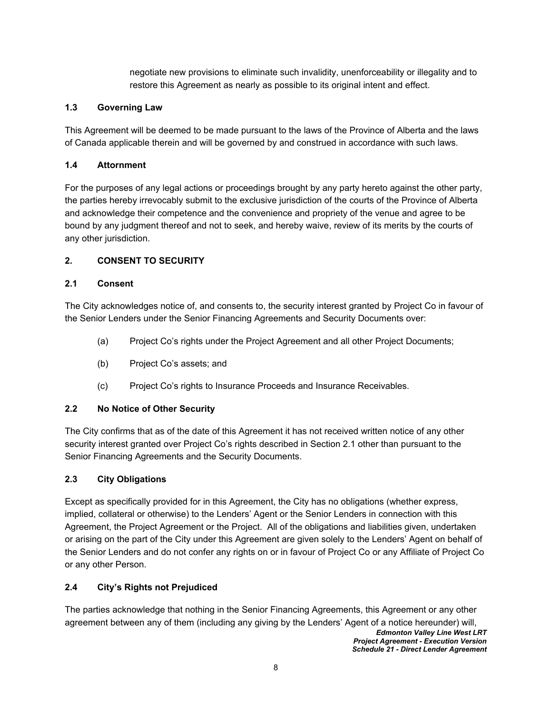negotiate new provisions to eliminate such invalidity, unenforceability or illegality and to restore this Agreement as nearly as possible to its original intent and effect.

### <span id="page-10-0"></span>**1.3 Governing Law**

This Agreement will be deemed to be made pursuant to the laws of the Province of Alberta and the laws of Canada applicable therein and will be governed by and construed in accordance with such laws.

#### <span id="page-10-1"></span>**1.4 Attornment**

For the purposes of any legal actions or proceedings brought by any party hereto against the other party, the parties hereby irrevocably submit to the exclusive jurisdiction of the courts of the Province of Alberta and acknowledge their competence and the convenience and propriety of the venue and agree to be bound by any judgment thereof and not to seek, and hereby waive, review of its merits by the courts of any other jurisdiction.

# <span id="page-10-3"></span><span id="page-10-2"></span>**2. CONSENT TO SECURITY**

### **2.1 Consent**

The City acknowledges notice of, and consents to, the security interest granted by Project Co in favour of the Senior Lenders under the Senior Financing Agreements and Security Documents over:

- (a) Project Co's rights under the Project Agreement and all other Project Documents;
- (b) Project Co's assets; and
- (c) Project Co's rights to Insurance Proceeds and Insurance Receivables.

# <span id="page-10-4"></span>**2.2 No Notice of Other Security**

The City confirms that as of the date of this Agreement it has not received written notice of any other security interest granted over Project Co's rights described in Section [2.1](#page-10-3) other than pursuant to the Senior Financing Agreements and the Security Documents.

# <span id="page-10-5"></span>**2.3 City Obligations**

Except as specifically provided for in this Agreement, the City has no obligations (whether express, implied, collateral or otherwise) to the Lenders' Agent or the Senior Lenders in connection with this Agreement, the Project Agreement or the Project. All of the obligations and liabilities given, undertaken or arising on the part of the City under this Agreement are given solely to the Lenders' Agent on behalf of the Senior Lenders and do not confer any rights on or in favour of Project Co or any Affiliate of Project Co or any other Person.

# <span id="page-10-6"></span>**2.4 City's Rights not Prejudiced**

The parties acknowledge that nothing in the Senior Financing Agreements, this Agreement or any other agreement between any of them (including any giving by the Lenders' Agent of a notice hereunder) will,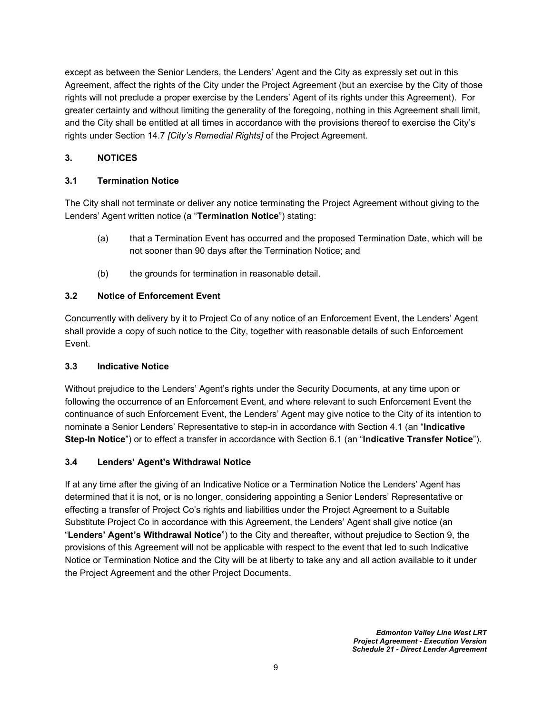except as between the Senior Lenders, the Lenders' Agent and the City as expressly set out in this Agreement, affect the rights of the City under the Project Agreement (but an exercise by the City of those rights will not preclude a proper exercise by the Lenders' Agent of its rights under this Agreement). For greater certainty and without limiting the generality of the foregoing, nothing in this Agreement shall limit, and the City shall be entitled at all times in accordance with the provisions thereof to exercise the City's rights under Section 14.7 *[City's Remedial Rights]* of the Project Agreement.

### <span id="page-11-1"></span><span id="page-11-0"></span>**3. NOTICES**

#### **3.1 Termination Notice**

The City shall not terminate or deliver any notice terminating the Project Agreement without giving to the Lenders' Agent written notice (a "**Termination Notice**") stating:

- <span id="page-11-5"></span>(a) that a Termination Event has occurred and the proposed Termination Date, which will be not sooner than 90 days after the Termination Notice; and
- (b) the grounds for termination in reasonable detail.

#### <span id="page-11-2"></span>**3.2 Notice of Enforcement Event**

Concurrently with delivery by it to Project Co of any notice of an Enforcement Event, the Lenders' Agent shall provide a copy of such notice to the City, together with reasonable details of such Enforcement Event.

#### <span id="page-11-3"></span>**3.3 Indicative Notice**

Without prejudice to the Lenders' Agent's rights under the Security Documents, at any time upon or following the occurrence of an Enforcement Event, and where relevant to such Enforcement Event the continuance of such Enforcement Event, the Lenders' Agent may give notice to the City of its intention to nominate a Senior Lenders' Representative to step-in in accordance with Section [4.1](#page-12-4) (an "**Indicative Step-In Notice**") or to effect a transfer in accordance with Section [6.1](#page-15-1) (an "**Indicative Transfer Notice**").

#### <span id="page-11-4"></span>**3.4 Lenders' Agent's Withdrawal Notice**

If at any time after the giving of an Indicative Notice or a Termination Notice the Lenders' Agent has determined that it is not, or is no longer, considering appointing a Senior Lenders' Representative or effecting a transfer of Project Co's rights and liabilities under the Project Agreement to a Suitable Substitute Project Co in accordance with this Agreement, the Lenders' Agent shall give notice (an "**Lenders' Agent's Withdrawal Notice**") to the City and thereafter, without prejudice to Section 9, the provisions of this Agreement will not be applicable with respect to the event that led to such Indicative Notice or Termination Notice and the City will be at liberty to take any and all action available to it under the Project Agreement and the other Project Documents.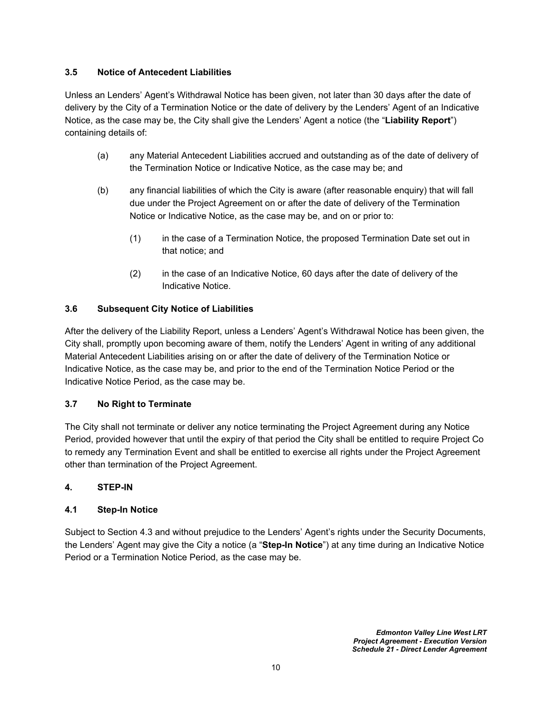### <span id="page-12-0"></span>**3.5 Notice of Antecedent Liabilities**

Unless an Lenders' Agent's Withdrawal Notice has been given, not later than 30 days after the date of delivery by the City of a Termination Notice or the date of delivery by the Lenders' Agent of an Indicative Notice, as the case may be, the City shall give the Lenders' Agent a notice (the "**Liability Report**") containing details of:

- (a) any Material Antecedent Liabilities accrued and outstanding as of the date of delivery of the Termination Notice or Indicative Notice, as the case may be; and
- (b) any financial liabilities of which the City is aware (after reasonable enquiry) that will fall due under the Project Agreement on or after the date of delivery of the Termination Notice or Indicative Notice, as the case may be, and on or prior to:
	- (1) in the case of a Termination Notice, the proposed Termination Date set out in that notice; and
	- (2) in the case of an Indicative Notice, 60 days after the date of delivery of the Indicative Notice.

### <span id="page-12-1"></span>**3.6 Subsequent City Notice of Liabilities**

After the delivery of the Liability Report, unless a Lenders' Agent's Withdrawal Notice has been given, the City shall, promptly upon becoming aware of them, notify the Lenders' Agent in writing of any additional Material Antecedent Liabilities arising on or after the date of delivery of the Termination Notice or Indicative Notice, as the case may be, and prior to the end of the Termination Notice Period or the Indicative Notice Period, as the case may be.

#### <span id="page-12-2"></span>**3.7 No Right to Terminate**

The City shall not terminate or deliver any notice terminating the Project Agreement during any Notice Period, provided however that until the expiry of that period the City shall be entitled to require Project Co to remedy any Termination Event and shall be entitled to exercise all rights under the Project Agreement other than termination of the Project Agreement.

#### <span id="page-12-4"></span><span id="page-12-3"></span>**4. STEP-IN**

#### **4.1 Step-In Notice**

Subject to Section [4.3](#page-13-1) and without prejudice to the Lenders' Agent's rights under the Security Documents, the Lenders' Agent may give the City a notice (a "**Step-In Notice**") at any time during an Indicative Notice Period or a Termination Notice Period, as the case may be.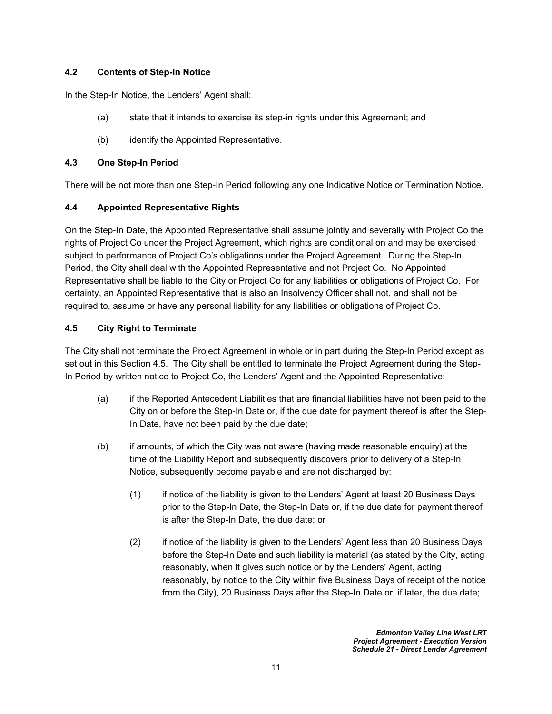# <span id="page-13-0"></span>**4.2 Contents of Step-In Notice**

In the Step-In Notice, the Lenders' Agent shall:

- (a) state that it intends to exercise its step-in rights under this Agreement; and
- (b) identify the Appointed Representative.

### <span id="page-13-1"></span>**4.3 One Step-In Period**

<span id="page-13-2"></span>There will be not more than one Step-In Period following any one Indicative Notice or Termination Notice.

### **4.4 Appointed Representative Rights**

On the Step-In Date, the Appointed Representative shall assume jointly and severally with Project Co the rights of Project Co under the Project Agreement, which rights are conditional on and may be exercised subject to performance of Project Co's obligations under the Project Agreement. During the Step-In Period, the City shall deal with the Appointed Representative and not Project Co. No Appointed Representative shall be liable to the City or Project Co for any liabilities or obligations of Project Co. For certainty, an Appointed Representative that is also an Insolvency Officer shall not, and shall not be required to, assume or have any personal liability for any liabilities or obligations of Project Co.

### <span id="page-13-3"></span>**4.5 City Right to Terminate**

The City shall not terminate the Project Agreement in whole or in part during the Step-In Period except as set out in this Section [4.5.](#page-13-3) The City shall be entitled to terminate the Project Agreement during the Step-In Period by written notice to Project Co, the Lenders' Agent and the Appointed Representative:

- (a) if the Reported Antecedent Liabilities that are financial liabilities have not been paid to the City on or before the Step-In Date or, if the due date for payment thereof is after the Step-In Date, have not been paid by the due date;
- (b) if amounts, of which the City was not aware (having made reasonable enquiry) at the time of the Liability Report and subsequently discovers prior to delivery of a Step-In Notice, subsequently become payable and are not discharged by:
	- (1) if notice of the liability is given to the Lenders' Agent at least 20 Business Days prior to the Step-In Date, the Step-In Date or, if the due date for payment thereof is after the Step-In Date, the due date; or
	- (2) if notice of the liability is given to the Lenders' Agent less than 20 Business Days before the Step-In Date and such liability is material (as stated by the City, acting reasonably, when it gives such notice or by the Lenders' Agent, acting reasonably, by notice to the City within five Business Days of receipt of the notice from the City), 20 Business Days after the Step-In Date or, if later, the due date;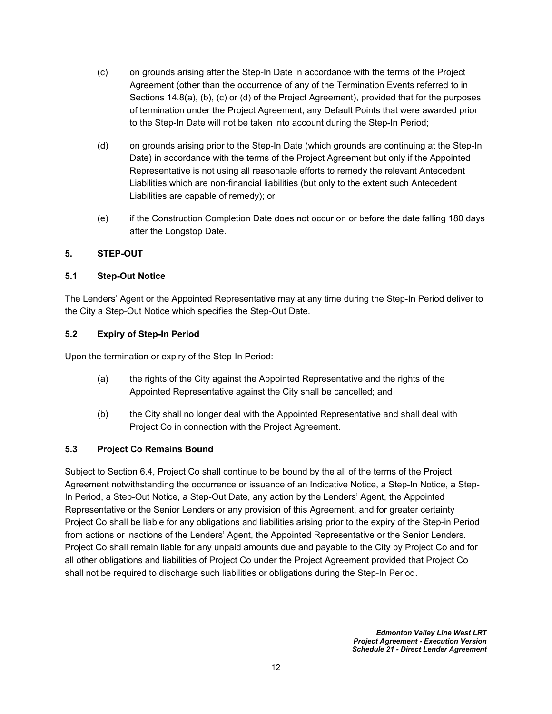- (c) on grounds arising after the Step-In Date in accordance with the terms of the Project Agreement (other than the occurrence of any of the Termination Events referred to in Sections 14.8(a), (b), (c) or (d) of the Project Agreement), provided that for the purposes of termination under the Project Agreement, any Default Points that were awarded prior to the Step-In Date will not be taken into account during the Step-In Period;
- (d) on grounds arising prior to the Step-In Date (which grounds are continuing at the Step-In Date) in accordance with the terms of the Project Agreement but only if the Appointed Representative is not using all reasonable efforts to remedy the relevant Antecedent Liabilities which are non-financial liabilities (but only to the extent such Antecedent Liabilities are capable of remedy); or
- (e) if the Construction Completion Date does not occur on or before the date falling 180 days after the Longstop Date.

### <span id="page-14-1"></span><span id="page-14-0"></span>**5. STEP-OUT**

#### **5.1 Step-Out Notice**

The Lenders' Agent or the Appointed Representative may at any time during the Step-In Period deliver to the City a Step-Out Notice which specifies the Step-Out Date.

#### <span id="page-14-2"></span>**5.2 Expiry of Step-In Period**

Upon the termination or expiry of the Step-In Period:

- (a) the rights of the City against the Appointed Representative and the rights of the Appointed Representative against the City shall be cancelled; and
- (b) the City shall no longer deal with the Appointed Representative and shall deal with Project Co in connection with the Project Agreement.

# <span id="page-14-3"></span>**5.3 Project Co Remains Bound**

Subject to Section [6.4](#page-15-4), Project Co shall continue to be bound by the all of the terms of the Project Agreement notwithstanding the occurrence or issuance of an Indicative Notice, a Step-In Notice, a Step-In Period, a Step-Out Notice, a Step-Out Date, any action by the Lenders' Agent, the Appointed Representative or the Senior Lenders or any provision of this Agreement, and for greater certainty Project Co shall be liable for any obligations and liabilities arising prior to the expiry of the Step-in Period from actions or inactions of the Lenders' Agent, the Appointed Representative or the Senior Lenders. Project Co shall remain liable for any unpaid amounts due and payable to the City by Project Co and for all other obligations and liabilities of Project Co under the Project Agreement provided that Project Co shall not be required to discharge such liabilities or obligations during the Step-In Period.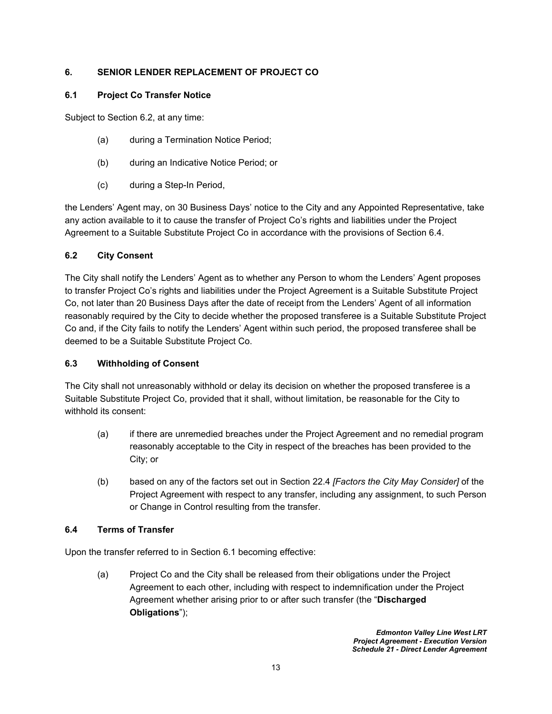# <span id="page-15-1"></span><span id="page-15-0"></span>**6. SENIOR LENDER REPLACEMENT OF PROJECT CO**

#### **6.1 Project Co Transfer Notice**

Subject to Section [6.2](#page-15-2), at any time:

- (a) during a Termination Notice Period;
- (b) during an Indicative Notice Period; or
- (c) during a Step-In Period,

the Lenders' Agent may, on 30 Business Days' notice to the City and any Appointed Representative, take any action available to it to cause the transfer of Project Co's rights and liabilities under the Project Agreement to a Suitable Substitute Project Co in accordance with the provisions of Section [6.4](#page-15-4).

### <span id="page-15-2"></span>**6.2 City Consent**

The City shall notify the Lenders' Agent as to whether any Person to whom the Lenders' Agent proposes to transfer Project Co's rights and liabilities under the Project Agreement is a Suitable Substitute Project Co, not later than 20 Business Days after the date of receipt from the Lenders' Agent of all information reasonably required by the City to decide whether the proposed transferee is a Suitable Substitute Project Co and, if the City fails to notify the Lenders' Agent within such period, the proposed transferee shall be deemed to be a Suitable Substitute Project Co.

#### <span id="page-15-3"></span>**6.3 Withholding of Consent**

The City shall not unreasonably withhold or delay its decision on whether the proposed transferee is a Suitable Substitute Project Co, provided that it shall, without limitation, be reasonable for the City to withhold its consent:

- (a) if there are unremedied breaches under the Project Agreement and no remedial program reasonably acceptable to the City in respect of the breaches has been provided to the City; or
- (b) based on any of the factors set out in Section 22.4 *[Factors the City May Consider]* of the Project Agreement with respect to any transfer, including any assignment, to such Person or Change in Control resulting from the transfer.

#### <span id="page-15-4"></span>**6.4 Terms of Transfer**

Upon the transfer referred to in Section [6.1](#page-15-1) becoming effective:

(a) Project Co and the City shall be released from their obligations under the Project Agreement to each other, including with respect to indemnification under the Project Agreement whether arising prior to or after such transfer (the "**Discharged Obligations**");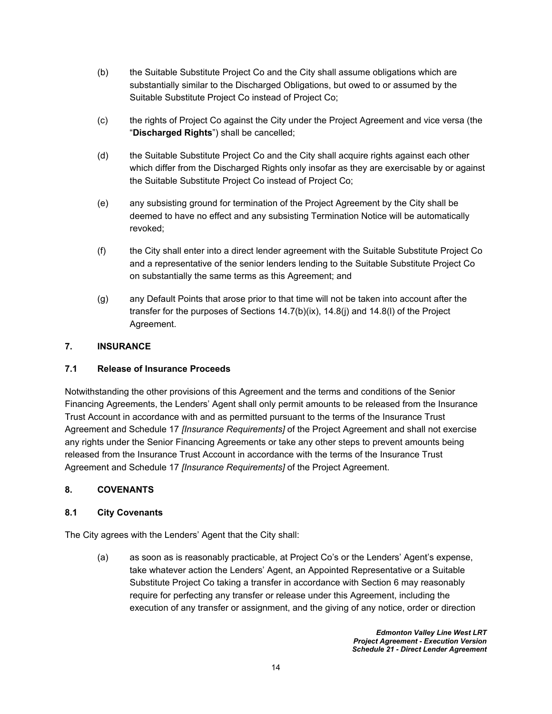- (b) the Suitable Substitute Project Co and the City shall assume obligations which are substantially similar to the Discharged Obligations, but owed to or assumed by the Suitable Substitute Project Co instead of Project Co;
- (c) the rights of Project Co against the City under the Project Agreement and vice versa (the "**Discharged Rights**") shall be cancelled;
- (d) the Suitable Substitute Project Co and the City shall acquire rights against each other which differ from the Discharged Rights only insofar as they are exercisable by or against the Suitable Substitute Project Co instead of Project Co;
- (e) any subsisting ground for termination of the Project Agreement by the City shall be deemed to have no effect and any subsisting Termination Notice will be automatically revoked;
- <span id="page-16-4"></span>(f) the City shall enter into a direct lender agreement with the Suitable Substitute Project Co and a representative of the senior lenders lending to the Suitable Substitute Project Co on substantially the same terms as this Agreement; and
- (g) any Default Points that arose prior to that time will not be taken into account after the transfer for the purposes of Sections 14.7(b)(ix), 14.8(j) and 14.8(l) of the Project Agreement.

# <span id="page-16-1"></span><span id="page-16-0"></span>**7. INSURANCE**

# **7.1 Release of Insurance Proceeds**

Notwithstanding the other provisions of this Agreement and the terms and conditions of the Senior Financing Agreements, the Lenders' Agent shall only permit amounts to be released from the Insurance Trust Account in accordance with and as permitted pursuant to the terms of the Insurance Trust Agreement and Schedule 17 *[Insurance Requirements]* of the Project Agreement and shall not exercise any rights under the Senior Financing Agreements or take any other steps to prevent amounts being released from the Insurance Trust Account in accordance with the terms of the Insurance Trust Agreement and Schedule 17 *[Insurance Requirements]* of the Project Agreement.

# <span id="page-16-3"></span><span id="page-16-2"></span>**8. COVENANTS**

#### **8.1 City Covenants**

The City agrees with the Lenders' Agent that the City shall:

(a) as soon as is reasonably practicable, at Project Co's or the Lenders' Agent's expense, take whatever action the Lenders' Agent, an Appointed Representative or a Suitable Substitute Project Co taking a transfer in accordance with Section [6](#page-15-0) may reasonably require for perfecting any transfer or release under this Agreement, including the execution of any transfer or assignment, and the giving of any notice, order or direction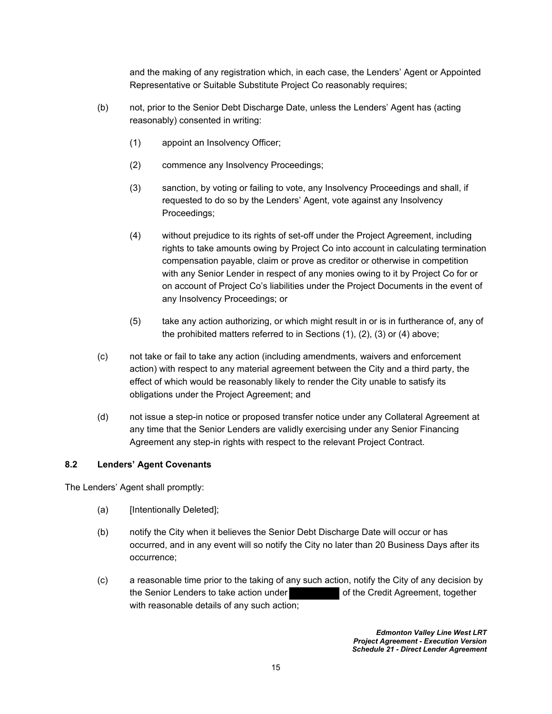and the making of any registration which, in each case, the Lenders' Agent or Appointed Representative or Suitable Substitute Project Co reasonably requires;

- <span id="page-17-4"></span><span id="page-17-3"></span><span id="page-17-2"></span><span id="page-17-1"></span>(b) not, prior to the Senior Debt Discharge Date, unless the Lenders' Agent has (acting reasonably) consented in writing:
	- (1) appoint an Insolvency Officer;
	- (2) commence any Insolvency Proceedings;
	- (3) sanction, by voting or failing to vote, any Insolvency Proceedings and shall, if requested to do so by the Lenders' Agent, vote against any Insolvency Proceedings;
	- (4) without prejudice to its rights of set-off under the Project Agreement, including rights to take amounts owing by Project Co into account in calculating termination compensation payable, claim or prove as creditor or otherwise in competition with any Senior Lender in respect of any monies owing to it by Project Co for or on account of Project Co's liabilities under the Project Documents in the event of any Insolvency Proceedings; or
	- (5) take any action authorizing, or which might result in or is in furtherance of, any of the prohibited matters referred to in Sections [\(1\)](#page-17-1), [\(2\)](#page-17-2), [\(3\)](#page-17-3) or [\(4\)](#page-17-4) above;
- (c) not take or fail to take any action (including amendments, waivers and enforcement action) with respect to any material agreement between the City and a third party, the effect of which would be reasonably likely to render the City unable to satisfy its obligations under the Project Agreement; and
- (d) not issue a step-in notice or proposed transfer notice under any Collateral Agreement at any time that the Senior Lenders are validly exercising under any Senior Financing Agreement any step-in rights with respect to the relevant Project Contract.

#### <span id="page-17-0"></span>**8.2 Lenders' Agent Covenants**

The Lenders' Agent shall promptly:

- (a) [Intentionally Deleted];
- (b) notify the City when it believes the Senior Debt Discharge Date will occur or has occurred, and in any event will so notify the City no later than 20 Business Days after its occurrence;
- (c) a reasonable time prior to the taking of any such action, notify the City of any decision by the Senior Lenders to take action under **of the Credit Agreement, together** with reasonable details of any such action;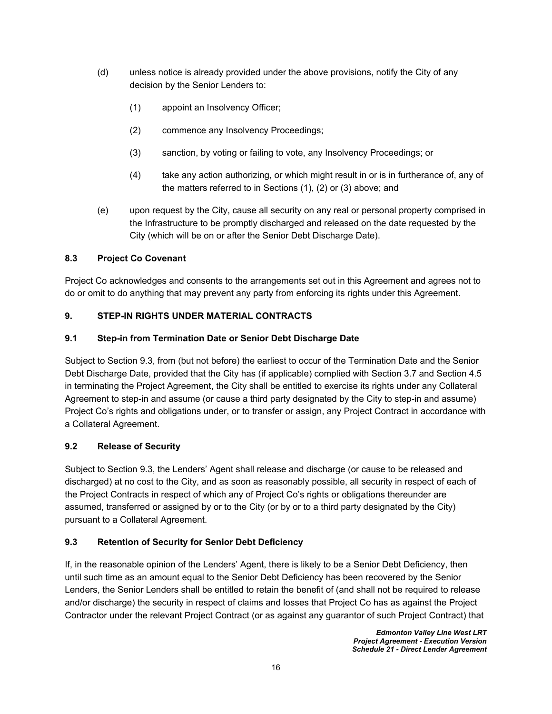- <span id="page-18-7"></span><span id="page-18-6"></span><span id="page-18-5"></span>(d) unless notice is already provided under the above provisions, notify the City of any decision by the Senior Lenders to:
	- (1) appoint an Insolvency Officer;
	- (2) commence any Insolvency Proceedings;
	- (3) sanction, by voting or failing to vote, any Insolvency Proceedings; or
	- (4) take any action authorizing, or which might result in or is in furtherance of, any of the matters referred to in Sections [\(1\),](#page-18-5) [\(2\)](#page-18-6) or [\(3\)](#page-18-7) above; and
- (e) upon request by the City, cause all security on any real or personal property comprised in the Infrastructure to be promptly discharged and released on the date requested by the City (which will be on or after the Senior Debt Discharge Date).

### <span id="page-18-0"></span>**8.3 Project Co Covenant**

Project Co acknowledges and consents to the arrangements set out in this Agreement and agrees not to do or omit to do anything that may prevent any party from enforcing its rights under this Agreement.

#### <span id="page-18-2"></span><span id="page-18-1"></span>**9. STEP-IN RIGHTS UNDER MATERIAL CONTRACTS**

#### **9.1 Step-in from Termination Date or Senior Debt Discharge Date**

Subject to Section [9.3](#page-18-4), from (but not before) the earliest to occur of the Termination Date and the Senior Debt Discharge Date, provided that the City has (if applicable) complied with Section [3.7](#page-12-2) and Section [4.5](#page-13-3) in terminating the Project Agreement, the City shall be entitled to exercise its rights under any Collateral Agreement to step-in and assume (or cause a third party designated by the City to step-in and assume) Project Co's rights and obligations under, or to transfer or assign, any Project Contract in accordance with a Collateral Agreement.

# <span id="page-18-3"></span>**9.2 Release of Security**

Subject to Section [9.3](#page-18-4), the Lenders' Agent shall release and discharge (or cause to be released and discharged) at no cost to the City, and as soon as reasonably possible, all security in respect of each of the Project Contracts in respect of which any of Project Co's rights or obligations thereunder are assumed, transferred or assigned by or to the City (or by or to a third party designated by the City) pursuant to a Collateral Agreement.

#### <span id="page-18-4"></span>**9.3 Retention of Security for Senior Debt Deficiency**

If, in the reasonable opinion of the Lenders' Agent, there is likely to be a Senior Debt Deficiency, then until such time as an amount equal to the Senior Debt Deficiency has been recovered by the Senior Lenders, the Senior Lenders shall be entitled to retain the benefit of (and shall not be required to release and/or discharge) the security in respect of claims and losses that Project Co has as against the Project Contractor under the relevant Project Contract (or as against any guarantor of such Project Contract) that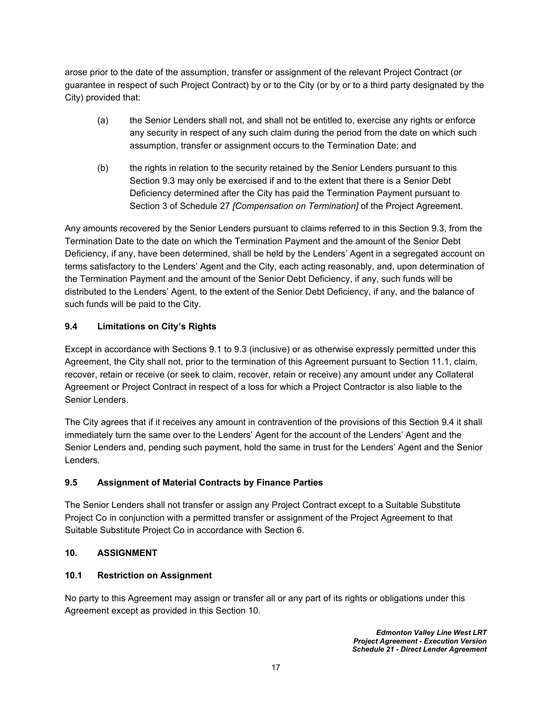arose prior to the date of the assumption, transfer or assignment of the relevant Project Contract (or guarantee in respect of such Project Contract) by or to the City (or by or to a third party designated by the City) provided that:

- (a) the Senior Lenders shall not, and shall not be entitled to, exercise any rights or enforce any security in respect of any such claim during the period from the date on which such assumption, transfer or assignment occurs to the Termination Date; and
- (b) the rights in relation to the security retained by the Senior Lenders pursuant to this Section [9.3](#page-18-4) may only be exercised if and to the extent that there is a Senior Debt Deficiency determined after the City has paid the Termination Payment pursuant to Section 3 of Schedule 27 *[Compensation on Termination]* of the Project Agreement.

Any amounts recovered by the Senior Lenders pursuant to claims referred to in this Section [9.3,](#page-18-4) from the Termination Date to the date on which the Termination Payment and the amount of the Senior Debt Deficiency, if any, have been determined, shall be held by the Lenders' Agent in a segregated account on terms satisfactory to the Lenders' Agent and the City, each acting reasonably, and, upon determination of the Termination Payment and the amount of the Senior Debt Deficiency, if any, such funds will be distributed to the Lenders' Agent, to the extent of the Senior Debt Deficiency, if any, and the balance of such funds will be paid to the City.

# <span id="page-19-0"></span>**9.4 Limitations on City's Rights**

Except in accordance with Sections 9.1 to 9.3 (inclusive) or as otherwise expressly permitted under this Agreement, the City shall not, prior to the termination of this Agreement pursuant to Section [11.1](#page-20-5), claim, recover, retain or receive (or seek to claim, recover, retain or receive) any amount under any Collateral Agreement or Project Contract in respect of a loss for which a Project Contractor is also liable to the Senior Lenders.

The City agrees that if it receives any amount in contravention of the provisions of this Section 9.4 it shall immediately turn the same over to the Lenders' Agent for the account of the Lenders' Agent and the Senior Lenders and, pending such payment, hold the same in trust for the Lenders' Agent and the Senior Lenders.

# <span id="page-19-1"></span>**9.5 Assignment of Material Contracts by Finance Parties**

The Senior Lenders shall not transfer or assign any Project Contract except to a Suitable Substitute Project Co in conjunction with a permitted transfer or assignment of the Project Agreement to that Suitable Substitute Project Co in accordance with Section [6.](#page-15-0)

# <span id="page-19-3"></span><span id="page-19-2"></span>**10. ASSIGNMENT**

# **10.1 Restriction on Assignment**

No party to this Agreement may assign or transfer all or any part of its rights or obligations under this Agreement except as provided in this Section [10.](#page-19-2)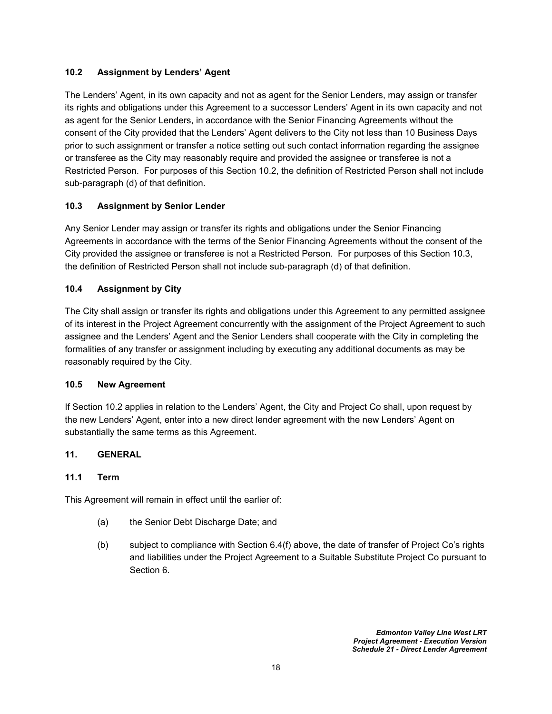### <span id="page-20-0"></span>**10.2 Assignment by Lenders' Agent**

The Lenders' Agent, in its own capacity and not as agent for the Senior Lenders, may assign or transfer its rights and obligations under this Agreement to a successor Lenders' Agent in its own capacity and not as agent for the Senior Lenders, in accordance with the Senior Financing Agreements without the consent of the City provided that the Lenders' Agent delivers to the City not less than 10 Business Days prior to such assignment or transfer a notice setting out such contact information regarding the assignee or transferee as the City may reasonably require and provided the assignee or transferee is not a Restricted Person. For purposes of this Section [10.2,](#page-20-0) the definition of Restricted Person shall not include sub-paragraph (d) of that definition.

### <span id="page-20-1"></span>**10.3 Assignment by Senior Lender**

Any Senior Lender may assign or transfer its rights and obligations under the Senior Financing Agreements in accordance with the terms of the Senior Financing Agreements without the consent of the City provided the assignee or transferee is not a Restricted Person. For purposes of this Section [10.3,](#page-20-1) the definition of Restricted Person shall not include sub-paragraph (d) of that definition.

#### <span id="page-20-2"></span>**10.4 Assignment by City**

The City shall assign or transfer its rights and obligations under this Agreement to any permitted assignee of its interest in the Project Agreement concurrently with the assignment of the Project Agreement to such assignee and the Lenders' Agent and the Senior Lenders shall cooperate with the City in completing the formalities of any transfer or assignment including by executing any additional documents as may be reasonably required by the City.

#### <span id="page-20-3"></span>**10.5 New Agreement**

If Section [10.2](#page-20-0) applies in relation to the Lenders' Agent, the City and Project Co shall, upon request by the new Lenders' Agent, enter into a new direct lender agreement with the new Lenders' Agent on substantially the same terms as this Agreement.

#### <span id="page-20-5"></span><span id="page-20-4"></span>**11. GENERAL**

#### **11.1 Term**

This Agreement will remain in effect until the earlier of:

- (a) the Senior Debt Discharge Date; and
- (b) subject to compliance with Section [6.4\(f\)](#page-16-4) above, the date of transfer of Project Co's rights and liabilities under the Project Agreement to a Suitable Substitute Project Co pursuant to Section [6.](#page-15-0)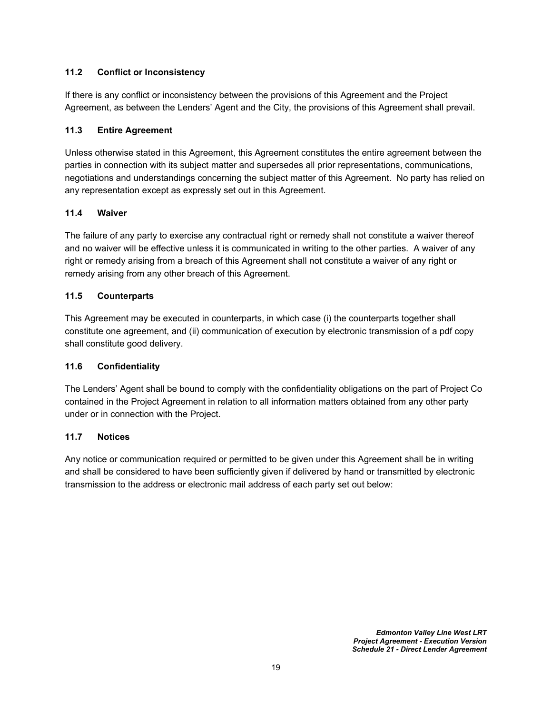### <span id="page-21-0"></span>**11.2 Conflict or Inconsistency**

If there is any conflict or inconsistency between the provisions of this Agreement and the Project Agreement, as between the Lenders' Agent and the City, the provisions of this Agreement shall prevail.

#### <span id="page-21-1"></span>**11.3 Entire Agreement**

Unless otherwise stated in this Agreement, this Agreement constitutes the entire agreement between the parties in connection with its subject matter and supersedes all prior representations, communications, negotiations and understandings concerning the subject matter of this Agreement. No party has relied on any representation except as expressly set out in this Agreement.

### <span id="page-21-2"></span>**11.4 Waiver**

The failure of any party to exercise any contractual right or remedy shall not constitute a waiver thereof and no waiver will be effective unless it is communicated in writing to the other parties. A waiver of any right or remedy arising from a breach of this Agreement shall not constitute a waiver of any right or remedy arising from any other breach of this Agreement.

### <span id="page-21-3"></span>**11.5 Counterparts**

This Agreement may be executed in counterparts, in which case (i) the counterparts together shall constitute one agreement, and (ii) communication of execution by electronic transmission of a pdf copy shall constitute good delivery.

#### <span id="page-21-4"></span>**11.6 Confidentiality**

The Lenders' Agent shall be bound to comply with the confidentiality obligations on the part of Project Co contained in the Project Agreement in relation to all information matters obtained from any other party under or in connection with the Project.

#### <span id="page-21-5"></span>**11.7 Notices**

Any notice or communication required or permitted to be given under this Agreement shall be in writing and shall be considered to have been sufficiently given if delivered by hand or transmitted by electronic transmission to the address or electronic mail address of each party set out below: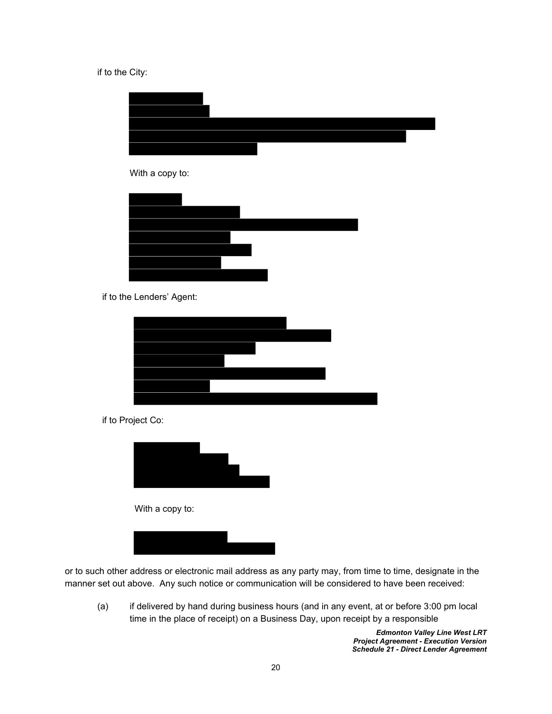#### if to the City:



if to the Lenders' Agent:



if to Project Co:



With a copy to:



or to such other address or electronic mail address as any party may, from time to time, designate in the manner set out above. Any such notice or communication will be considered to have been received:

(a) if delivered by hand during business hours (and in any event, at or before 3:00 pm local time in the place of receipt) on a Business Day, upon receipt by a responsible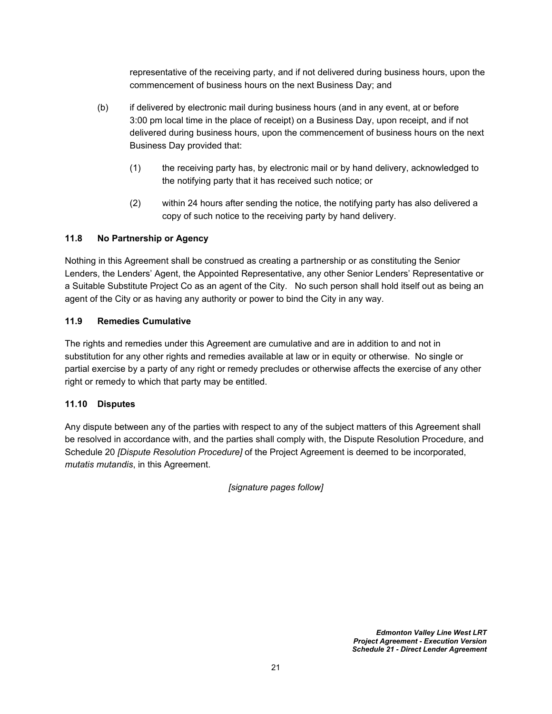representative of the receiving party, and if not delivered during business hours, upon the commencement of business hours on the next Business Day; and

- (b) if delivered by electronic mail during business hours (and in any event, at or before 3:00 pm local time in the place of receipt) on a Business Day, upon receipt, and if not delivered during business hours, upon the commencement of business hours on the next Business Day provided that:
	- (1) the receiving party has, by electronic mail or by hand delivery, acknowledged to the notifying party that it has received such notice; or
	- (2) within 24 hours after sending the notice, the notifying party has also delivered a copy of such notice to the receiving party by hand delivery.

# <span id="page-23-0"></span>**11.8 No Partnership or Agency**

Nothing in this Agreement shall be construed as creating a partnership or as constituting the Senior Lenders, the Lenders' Agent, the Appointed Representative, any other Senior Lenders' Representative or a Suitable Substitute Project Co as an agent of the City. No such person shall hold itself out as being an agent of the City or as having any authority or power to bind the City in any way.

#### <span id="page-23-1"></span>**11.9 Remedies Cumulative**

The rights and remedies under this Agreement are cumulative and are in addition to and not in substitution for any other rights and remedies available at law or in equity or otherwise. No single or partial exercise by a party of any right or remedy precludes or otherwise affects the exercise of any other right or remedy to which that party may be entitled.

#### <span id="page-23-2"></span>**11.10 Disputes**

Any dispute between any of the parties with respect to any of the subject matters of this Agreement shall be resolved in accordance with, and the parties shall comply with, the Dispute Resolution Procedure, and Schedule 20 *[Dispute Resolution Procedure]* of the Project Agreement is deemed to be incorporated, *mutatis mutandis*, in this Agreement.

*[signature pages follow]*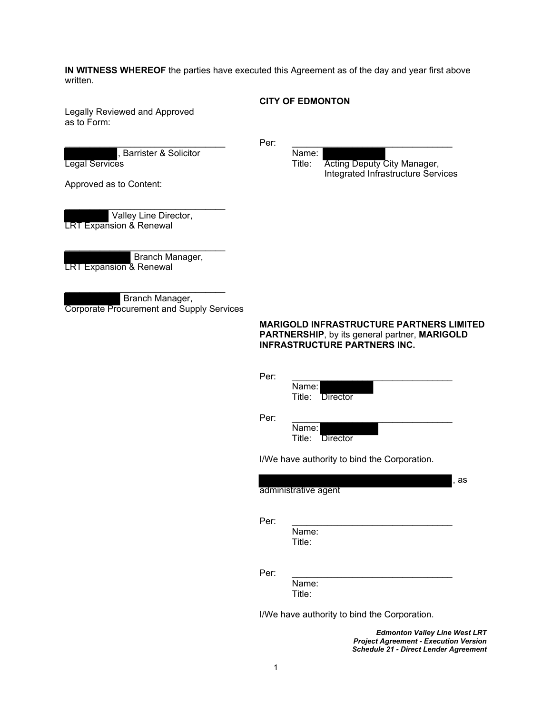**IN WITNESS WHEREOF** the parties have executed this Agreement as of the day and year first above written.

#### **CITY OF EDMONTON**

Legally Reviewed and Approved as to Form:

Rarrister & Solicitor (Solicitor Name: Name: 1996)<br>Show Name: 1996

 $\blacksquare$  Per:  $\blacksquare$  . The contract of the contract of the contract of the contract of the contract of the contract of the contract of the contract of the contract of the contract of the contract of the contract of the cont

Legal Services **Title:** Acting Deputy City Manager,

Integrated Infrastructure Services

Approved as to Content:

 Valley Line Director, LRT Expansion & Renewal

\_\_\_\_\_\_\_\_\_\_\_\_\_\_\_\_\_\_\_\_\_\_\_\_\_\_\_\_\_\_\_\_ Branch Manager, LRT Expansion & Renewal

\_\_\_\_\_\_\_\_\_\_\_\_\_\_\_\_\_\_\_\_\_\_\_\_\_\_\_\_\_\_\_\_

 Branch Manager, Corporate Procurement and Supply Services

> **MARIGOLD INFRASTRUCTURE PARTNERS LIMITED PARTNERSHIP**, by its general partner, **MARIGOLD INFRASTRUCTURE PARTNERS INC.**

| Per: | Name:<br>Title: Director                     |      |
|------|----------------------------------------------|------|
| Per: | Name:<br>Title: Director                     |      |
|      | I/We have authority to bind the Corporation. | , as |
|      |                                              |      |
|      | administrative agent                         |      |
| Per: | Name:<br>Title:                              |      |
| Per: | Name:<br>Title:                              |      |